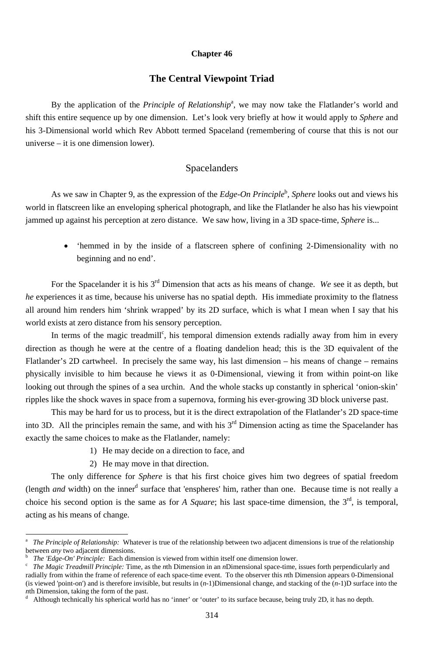#### **Chapter 46**

### **The Central Viewpoint Triad**

By the application of the *Principle of Relationship*<sup>a</sup>, we may now take the Flatlander's world and shift this entire sequence up by one dimension. Let's look very briefly at how it would apply to *Sphere* and his 3-Dimensional world which Rev Abbott termed Spaceland (remembering of course that this is not our universe – it is one dimension lower).

As we saw in Chapter 9, as the expression of the *Edge-On Principle*<sup>b</sup>, *Sphere* looks out and views his world in flatscreen like an enveloping spherical photograph, and like the Flatlander he also has his viewpoint jammed up against his perception at zero distance. We saw how, living in a 3D space-time, *Sphere* is...

#### Spacelanders

• 'hemmed in by the inside of a flatscreen sphere of confining 2-Dimensionality with no beginning and no end'.

In terms of the magic treadmill<sup>c</sup>, his temporal dimension extends radially away from him in every direction as though he were at the centre of a floating dandelion head; this is the 3D equivalent of the Flatlander's 2D cartwheel. In precisely the same way, his last dimension – his means of change – remains physically invisible to him because he views it as 0-Dimensional, viewing it from within point-on like looking out through the spines of a sea urchin. And the whole stacks up constantly in spherical 'onion-skin' ripples like the shock waves in space from a supernova, forming his ever-growing 3D block universe past.

For the Spacelander it is his 3rd Dimension that acts as his means of change. *We* see it as depth, but *he* experiences it as time, because his universe has no spatial depth. His immediate proximity to the flatness all around him renders him 'shrink wrapped' by its 2D surface, which is what I mean when I say that his world exists at zero distance from his sensory perception.

(length *and* width) on the inner<sup>d</sup> surface that 'enspheres' him, rather than one. Because time is not really a choice his second option is the same as for *A Square*; his last space-time dimension, the  $3<sup>rd</sup>$ , is temporal, acting as his means of change.

b <sup>b</sup> *The 'Edge-On' Principle:* Each dimension is viewed from within itself one dimension lower.<br><sup>c</sup> *The Magic Treadmill Principle:* Time, as the *n*th Dimension in an *n*Dimensional space-time

This may be hard for us to process, but it is the direct extrapolation of the Flatlander's 2D space-time into 3D. All the principles remain the same, and with his  $3<sup>rd</sup>$  Dimension acting as time the Spacelander has exactly the same choices to make as the Flatlander, namely:

- 1) He may decide on a direction to face, and
- 2) He may move in that direction.

-

The only difference for *Sphere* is that his first choice gives him two degrees of spatial freedom

 *The Magic Treadmill Principle:* Time, as the *n*th Dimension in an *n*Dimensional space-time, issues forth perpendicularly and radially from within the frame of reference of each space-time event. To the observer this *n*th Dimension appears 0-Dimensional (is viewed 'point-on') and is therefore invisible, but results in (*n*-1)Dimensional change, and stacking of the (*n*-1)D surface into the *n*th Dimension, taking the form of the past. d

Although technically his spherical world has no 'inner' or 'outer' to its surface because, being truly 2D, it has no depth.

a *The Principle of Relationship:* Whatever is true of the relationship between two adjacent dimensions is true of the relationship between *any* two adjacent dimensions.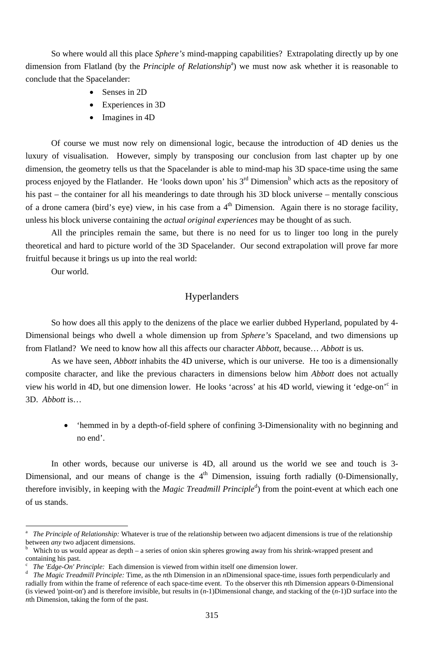So where would all this place *Sphere's* mind-mapping capabilities? Extrapolating directly up by one dimension from Flatland (by the *Principle of Relationship<sup>a</sup>*) we must now ask whether it is reasonable to conclude that the Spacelander:

- Senses in 2D
- Experiences in 3D
- Imagines in 4D

Of course we must now rely on dimensional logic, because the introduction of 4D denies us the luxury of visualisation. However, simply by transposing our conclusion from last chapter up by one dimension, the geometry tells us that the Spacelander is able to mind-map his 3D space-time using the same process enjoyed by the Flatlander. He 'looks down upon' his  $3<sup>rd</sup>$  Dimension<sup>b</sup> which acts as the repository of his past – the container for all his meanderings to date through his 3D block universe – mentally conscious of a drone camera (bird's eye) view, in his case from a  $4<sup>th</sup>$  Dimension. Again there is no storage facility, unless his block universe containing the *actual original experiences* may be thought of as such.

In other words, because our universe is 4D, all around us the world we see and touch is 3- Dimensional, and our means of change is the  $4<sup>th</sup>$  Dimension, issuing forth radially (0-Dimensionally,

All the principles remain the same, but there is no need for us to linger too long in the purely theoretical and hard to picture world of the 3D Spacelander. Our second extrapolation will prove far more fruitful because it brings us up into the real world:

therefore invisibly, in keeping with the *Magic Treadmill Principle*<sup>d</sup>) from the point-event at which each one of us stands.

Our world.

-

# Hyperlanders

So how does all this apply to the denizens of the place we earlier dubbed Hyperland, populated by 4- Dimensional beings who dwell a whole dimension up from *Sphere's* Spaceland, and two dimensions up from Flatland? We need to know how all this affects our character *Abbott,* because… *Abbott* is us.

As we have seen, *Abbott* inhabits the 4D universe, which is our universe. He too is a dimensionally composite character, and like the previous characters in dimensions below him *Abbott* does not actually view his world in 4D, but one dimension lower. He looks 'across' at his 4D world, viewing it 'edge-on'<sup>c</sup> in 3D. *Abbott* is…

> • 'hemmed in by a depth-of-field sphere of confining 3-Dimensionality with no beginning and no end'.

a *The Principle of Relationship:* Whatever is true of the relationship between two adjacent dimensions is true of the relationship between *any* two adjacent dimensions.

b Which to us would appear as depth – a series of onion skin spheres growing away from his shrink-wrapped present and containing his past.

c *The 'Edge-On' Principle:* Each dimension is viewed from within itself one dimension lower.

d *The Magic Treadmill Principle:* Time, as the *n*th Dimension in an *n*Dimensional space-time, issues forth perpendicularly and radially from within the frame of reference of each space-time event. To the observer this *n*th Dimension appears 0-Dimensional (is viewed 'point-on') and is therefore invisible, but results in (*n*-1)Dimensional change, and stacking of the (*n*-1)D surface into the *n*th Dimension, taking the form of the past.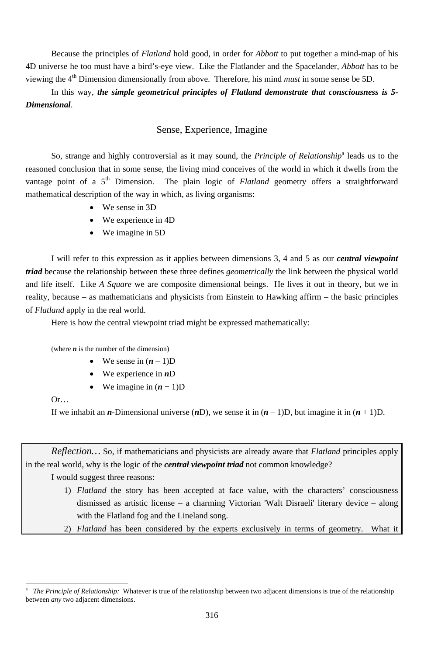Because the principles of *Flatland* hold good, in order for *Abbott* to put together a mind-map of his 4D universe he too must have a bird's-eye view. Like the Flatlander and the Spacelander, *Abbott* has to be viewing the 4<sup>th</sup> Dimension dimensionally from above. Therefore, his mind *must* in some sense be 5D.

In this way, *the simple geometrical principles of Flatland demonstrate that consciousness is 5- Dimensional*.

So, strange and highly controversial as it may sound, the *Principle of Relationship*<sup>a</sup> leads us to the reasoned conclusion that in some sense, the living mind conceives of the world in which it dwells from the vantage point of a 5<sup>th</sup> Dimension. The plain logic of *Flatland* geometry offers a straightforward mathematical description of the way in which, as living organisms:

- We sense in 3D
- We experience in 4D
- We imagine in 5D

## Sense, Experience, Imagine

I will refer to this expression as it applies between dimensions 3, 4 and 5 as our *central viewpoint triad* because the relationship between these three defines *geometrically* the link between the physical world and life itself. Like *A Square* we are composite dimensional beings. He lives it out in theory, but we in reality, because – as mathematicians and physicists from Einstein to Hawking affirm – the basic principles of *Flatland* apply in the real world.

Here is how the central viewpoint triad might be expressed mathematically:

(where  $n$  is the number of the dimension)

- We sense in  $(n-1)D$
- We experience in *n*D
- We imagine in  $(n + 1)D$

Or…

-

If we inhabit an *n*-Dimensional universe  $(nD)$ , we sense it in  $(n - 1)D$ , but imagine it in  $(n + 1)D$ .

*Reflection…* So, if mathematicians and physicists are already aware that *Flatland* principles apply in the real world, why is the logic of the *central viewpoint triad* not common knowledge?

I would suggest three reasons:

- 
- 1) *Flatland* the story has been accepted at face value, with the characters' consciousness dismissed as artistic license – a charming Victorian 'Walt Disraeli' literary device – along with the Flatland fog and the Lineland song.

2) *Flatland* has been considered by the experts exclusively in terms of geometry. What it

a *The Principle of Relationship:* Whatever is true of the relationship between two adjacent dimensions is true of the relationship between *any* two adjacent dimensions.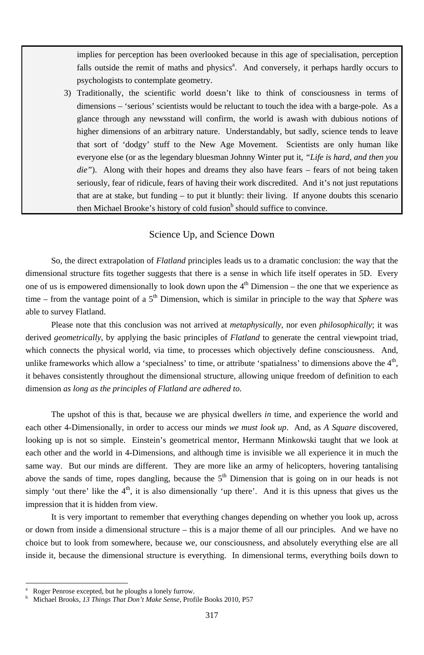3) Traditionally, the scientific world doesn't like to think of consciousness in terms of dimensions – 'serious' scientists would be reluctant to touch the idea with a barge-pole. As a glance through any newsstand will confirm, the world is awash with dubious notions of higher dimensions of an arbitrary nature. Understandably, but sadly, science tends to leave that sort of 'dodgy' stuff to the New Age Movement. Scientists are only human like everyone else (or as the legendary bluesman Johnny Winter put it, *"Life is hard, and then you die"*). Along with their hopes and dreams they also have fears – fears of not being taken seriously, fear of ridicule, fears of having their work discredited. And it's not just reputations that are at stake, but funding – to put it bluntly: their living. If anyone doubts this scenario then Michael Brooke's history of cold fusion  $\mathfrak b$  should suffice to convince.

implies for perception has been overlooked because in this age of specialisation, perception falls outside the remit of maths and physics<sup>a</sup>. And conversely, it perhaps hardly occurs to psychologists to contemplate geometry.

## Science Up, and Science Down

So, the direct extrapolation of *Flatland* principles leads us to a dramatic conclusion: the way that the dimensional structure fits together suggests that there is a sense in which life itself operates in 5D. Every one of us is empowered dimensionally to look down upon the  $4<sup>th</sup>$  Dimension – the one that we experience as time – from the vantage point of a 5<sup>th</sup> Dimension, which is similar in principle to the way that *Sphere* was able to survey Flatland.

Please note that this conclusion was not arrived at *metaphysically*, nor even *philosophically*; it was derived *geometrically*, by applying the basic principles of *Flatland* to generate the central viewpoint triad, which connects the physical world, via time, to processes which objectively define consciousness. And, unlike frameworks which allow a 'specialness' to time, or attribute 'spatialness' to dimensions above the  $4<sup>th</sup>$ , it behaves consistently throughout the dimensional structure, allowing unique freedom of definition to each dimension *as long as the principles of Flatland are adhered to*.

The upshot of this is that, because we are physical dwellers *in* time, and experience the world and each other 4-Dimensionally, in order to access our minds *we must look up*. And, as *A Square* discovered, looking up is not so simple. Einstein's geometrical mentor, Hermann Minkowski taught that we look at each other and the world in 4-Dimensions, and although time is invisible we all experience it in much the same way. But our minds are different. They are more like an army of helicopters, hovering tantalising above the sands of time, ropes dangling, because the  $5<sup>th</sup>$  Dimension that is going on in our heads is not simply 'out there' like the  $4<sup>th</sup>$ , it is also dimensionally 'up there'. And it is this upness that gives us the impression that it is hidden from view.

It is very important to remember that everything changes depending on whether you look up, across or down from inside a dimensional structure – this is a major theme of all our principles. And we have no choice but to look from somewhere, because we, our consciousness, and absolutely everything else are all inside it, because the dimensional structure is everything. In dimensional terms, everything boils down to

-

<sup>317</sup>

a Roger Penrose excepted, but he ploughs a lonely furrow.

b Michael Brooks, *13 Things That Don't Make Sense*, Profile Books 2010, P57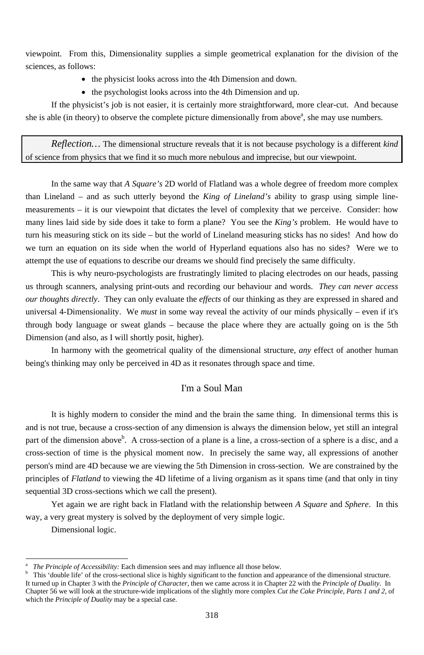viewpoint. From this, Dimensionality supplies a simple geometrical explanation for the division of the sciences, as follows:

- the physicist looks across into the 4th Dimension and down.
- the psychologist looks across into the 4th Dimension and up.

If the physicist's job is not easier, it is certainly more straightforward, more clear-cut. And because she is able (in theory) to observe the complete picture dimensionally from above<sup>a</sup>, she may use numbers.

*Reflection…* The dimensional structure reveals that it is not because psychology is a different *kind*  of science from physics that we find it so much more nebulous and imprecise, but our viewpoint.

In the same way that *A Square's* 2D world of Flatland was a whole degree of freedom more complex than Lineland – and as such utterly beyond the *King of Lineland's* ability to grasp using simple linemeasurements – it is our viewpoint that dictates the level of complexity that we perceive. Consider: how many lines laid side by side does it take to form a plane? You see the *King's* problem. He would have to turn his measuring stick on its side – but the world of Lineland measuring sticks has no sides! And how do we turn an equation on its side when the world of Hyperland equations also has no sides? Were we to attempt the use of equations to describe our dreams we should find precisely the same difficulty.

This is why neuro-psychologists are frustratingly limited to placing electrodes on our heads, passing us through scanners, analysing print-outs and recording our behaviour and words. *They can never access our thoughts directly*. They can only evaluate the *effects* of our thinking as they are expressed in shared and universal 4-Dimensionality. We *must* in some way reveal the activity of our minds physically – even if it's through body language or sweat glands – because the place where they are actually going on is the 5th Dimension (and also, as I will shortly posit, higher).

In harmony with the geometrical quality of the dimensional structure, *any* effect of another human being's thinking may only be perceived in 4D as it resonates through space and time.

#### I'm a Soul Man

It is highly modern to consider the mind and the brain the same thing. In dimensional terms this is and is not true, because a cross-section of any dimension is always the dimension below, yet still an integral part of the dimension above<sup>b</sup>. A cross-section of a plane is a line, a cross-section of a sphere is a disc, and a cross-section of time is the physical moment now. In precisely the same way, all expressions of another person's mind are 4D because we are viewing the 5th Dimension in cross-section. We are constrained by the principles of *Flatland* to viewing the 4D lifetime of a living organism as it spans time (and that only in tiny

sequential 3D cross-sections which we call the present).

Yet again we are right back in Flatland with the relationship between *A Square* and *Sphere*. In this way, a very great mystery is solved by the deployment of very simple logic. Dimensional logic.

<sup>-</sup>

a *The Principle of Accessibility:* Each dimension sees and may influence all those below.

b This 'double life' of the cross-sectional slice is highly significant to the function and appearance of the dimensional structure. It turned up in Chapter 3 with the *Principle of Character*, then we came across it in Chapter 22 with the *Principle of Duality*. In Chapter 56 we will look at the structure-wide implications of the slightly more complex *Cut the Cake Principle, Parts 1 and 2*, of which the *Principle of Duality* may be a special case.